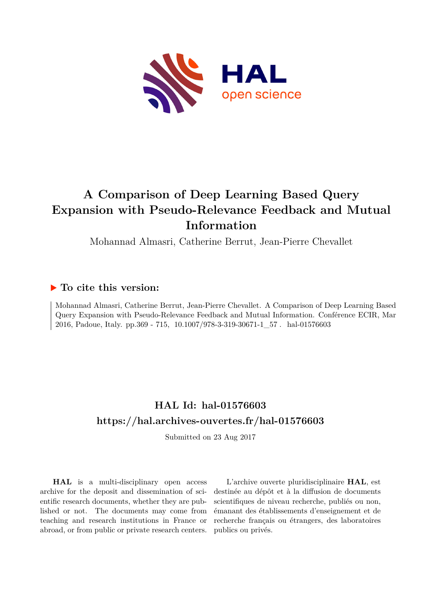

# **A Comparison of Deep Learning Based Query Expansion with Pseudo-Relevance Feedback and Mutual Information**

Mohannad Almasri, Catherine Berrut, Jean-Pierre Chevallet

### **To cite this version:**

Mohannad Almasri, Catherine Berrut, Jean-Pierre Chevallet. A Comparison of Deep Learning Based Query Expansion with Pseudo-Relevance Feedback and Mutual Information. Conférence ECIR, Mar 2016, Padoue, Italy. pp.369 - 715, 10.1007/978-3-319-30671-1\_57. hal-01576603

## **HAL Id: hal-01576603 <https://hal.archives-ouvertes.fr/hal-01576603>**

Submitted on 23 Aug 2017

**HAL** is a multi-disciplinary open access archive for the deposit and dissemination of scientific research documents, whether they are published or not. The documents may come from teaching and research institutions in France or abroad, or from public or private research centers.

L'archive ouverte pluridisciplinaire **HAL**, est destinée au dépôt et à la diffusion de documents scientifiques de niveau recherche, publiés ou non, émanant des établissements d'enseignement et de recherche français ou étrangers, des laboratoires publics ou privés.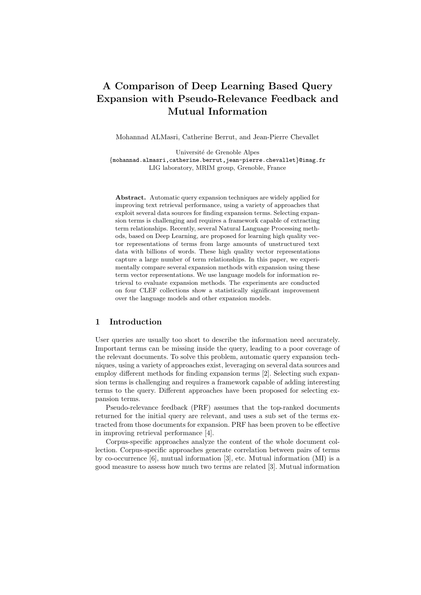## A Comparison of Deep Learning Based Query Expansion with Pseudo-Relevance Feedback and Mutual Information

Mohannad ALMasri, Catherine Berrut, and Jean-Pierre Chevallet

Université de Grenoble Alpes *{*mohannad.almasri,catherine.berrut,jean-pierre.chevallet*}*@imag.fr LIG laboratory, MRIM group, Grenoble, France

Abstract. Automatic query expansion techniques are widely applied for improving text retrieval performance, using a variety of approaches that exploit several data sources for finding expansion terms. Selecting expansion terms is challenging and requires a framework capable of extracting term relationships. Recently, several Natural Language Processing methods, based on Deep Learning, are proposed for learning high quality vector representations of terms from large amounts of unstructured text data with billions of words. These high quality vector representations capture a large number of term relationships. In this paper, we experimentally compare several expansion methods with expansion using these term vector representations. We use language models for information retrieval to evaluate expansion methods. The experiments are conducted on four CLEF collections show a statistically significant improvement over the language models and other expansion models.

#### 1 Introduction

User queries are usually too short to describe the information need accurately. Important terms can be missing inside the query, leading to a poor coverage of the relevant documents. To solve this problem, automatic query expansion techniques, using a variety of approaches exist, leveraging on several data sources and employ different methods for finding expansion terms [2]. Selecting such expansion terms is challenging and requires a framework capable of adding interesting terms to the query. Different approaches have been proposed for selecting expansion terms.

Pseudo-relevance feedback (PRF) assumes that the top-ranked documents returned for the initial query are relevant, and uses a sub set of the terms extracted from those documents for expansion. PRF has been proven to be effective in improving retrieval performance [4].

Corpus-specific approaches analyze the content of the whole document collection. Corpus-specific approaches generate correlation between pairs of terms by co-occurrence [6], mutual information [3], etc. Mutual information (MI) is a good measure to assess how much two terms are related [3]. Mutual information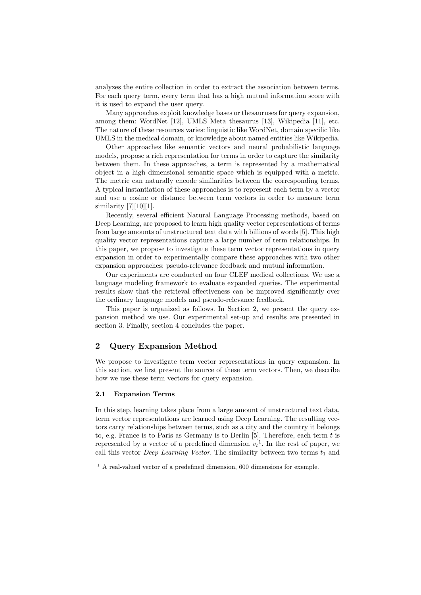analyzes the entire collection in order to extract the association between terms. For each query term, every term that has a high mutual information score with it is used to expand the user query.

Many approaches exploit knowledge bases or thesauruses for query expansion, among them: WordNet [12], UMLS Meta thesaurus [13], Wikipedia [11], etc. The nature of these resources varies: linguistic like WordNet, domain specific like UMLS in the medical domain, or knowledge about named entities like Wikipedia.

Other approaches like semantic vectors and neural probabilistic language models, propose a rich representation for terms in order to capture the similarity between them. In these approaches, a term is represented by a mathematical object in a high dimensional semantic space which is equipped with a metric. The metric can naturally encode similarities between the corresponding terms. A typical instantiation of these approaches is to represent each term by a vector and use a cosine or distance between term vectors in order to measure term similarity  $[7][10][1]$ .

Recently, several efficient Natural Language Processing methods, based on Deep Learning, are proposed to learn high quality vector representations of terms from large amounts of unstructured text data with billions of words [5]. This high quality vector representations capture a large number of term relationships. In this paper, we propose to investigate these term vector representations in query expansion in order to experimentally compare these approaches with two other expansion approaches: pseudo-relevance feedback and mutual information.

Our experiments are conducted on four CLEF medical collections. We use a language modeling framework to evaluate expanded queries. The experimental results show that the retrieval effectiveness can be improved significantly over the ordinary language models and pseudo-relevance feedback.

This paper is organized as follows. In Section 2, we present the query expansion method we use. Our experimental set-up and results are presented in section 3. Finally, section 4 concludes the paper.

#### 2 Query Expansion Method

We propose to investigate term vector representations in query expansion. In this section, we first present the source of these term vectors. Then, we describe how we use these term vectors for query expansion.

#### 2.1 Expansion Terms

In this step, learning takes place from a large amount of unstructured text data, term vector representations are learned using Deep Learning. The resulting vectors carry relationships between terms, such as a city and the country it belongs to, e.g. France is to Paris as Germany is to Berlin [5]. Therefore, each term *t* is represented by a vector of a predefined dimension  $v_t$ <sup>1</sup>. In the rest of paper, we call this vector *Deep Learning Vector*. The similarity between two terms  $t_1$  and

<sup>1</sup> A real-valued vector of a predefined dimension, 600 dimensions for exemple.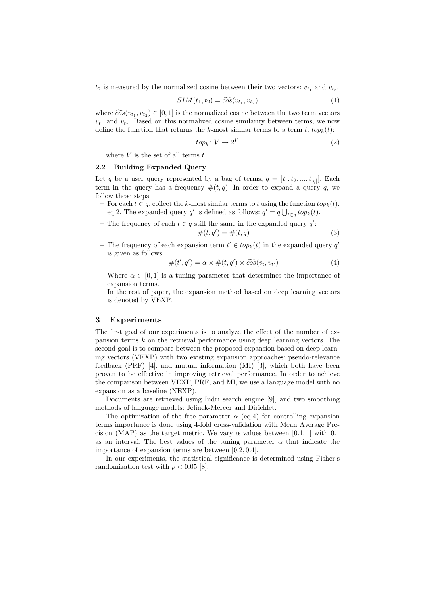$t_2$  is measured by the normalized cosine between their two vectors:  $v_{t_1}$  and  $v_{t_2}$ .

$$
SIM(t_1, t_2) = \widetilde{\cos}(v_{t_1}, v_{t_2})
$$
\n<sup>(1)</sup>

where  $\widetilde{\cos}(v_{t_1}, v_{t_2}) \in [0, 1]$  is the normalized cosine between the two term vectors  $v_{t_1}$  and  $v_{t_2}$ . Based on this normalized cosine similarity between terms, we now define the function that returns the *k*-most similar terms to a term  $t$ ,  $top_k(t)$ :

$$
top_k: V \to 2^V \tag{2}
$$

where *V* is the set of all terms *t*.

#### 2.2 Building Expanded Query

Let *q* be a user query represented by a bag of terms,  $q = [t_1, t_2, ..., t_{|q|}]$ . Each term in the query has a frequency  $#(t, q)$ . In order to expand a query q, we follow these steps:

- $-$  For each  $t \in q$ , collect the *k*-most similar terms to *t* using the function  $top_k(t)$ , eq.2. The expanded query *q*<sup> $\prime$ </sup> is defined as follows:  $q' = q \bigcup_{t \in q} top_k(t)$ .
- The frequency of each  $t \in q$  still the same in the expanded query  $q'$ :  $\#(t, q') = \#(t, q)$  (3)
- The frequency of each expansion term  $t' \in top_k(t)$  in the expanded query  $q'$ is given as follows:

$$
\#(t',q') = \alpha \times \#(t,q') \times \widetilde{\cos}(v_t,v_{t'})
$$
\n<sup>(4)</sup>

Where  $\alpha \in [0, 1]$  is a tuning parameter that determines the importance of expansion terms.

In the rest of paper, the expansion method based on deep learning vectors is denoted by VEXP.

#### 3 Experiments

The first goal of our experiments is to analyze the effect of the number of expansion terms *k* on the retrieval performance using deep learning vectors. The second goal is to compare between the proposed expansion based on deep learning vectors (VEXP) with two existing expansion approaches: pseudo-relevance feedback (PRF) [4], and mutual information (MI) [3], which both have been proven to be effective in improving retrieval performance. In order to achieve the comparison between VEXP, PRF, and MI, we use a language model with no expansion as a baseline (NEXP).

Documents are retrieved using Indri search engine [9], and two smoothing methods of language models: Jelinek-Mercer and Dirichlet.

The optimization of the free parameter  $\alpha$  (eq.4) for controlling expansion terms importance is done using 4-fold cross-validation with Mean Average Precision (MAP) as the target metric. We vary  $\alpha$  values between [0.1, 1] with 0.1 as an interval. The best values of the tuning parameter  $\alpha$  that indicate the importance of expansion terms are between [0*.*2*,* 0*.*4].

In our experiments, the statistical significance is determined using Fisher's randomization test with  $p < 0.05$  [8].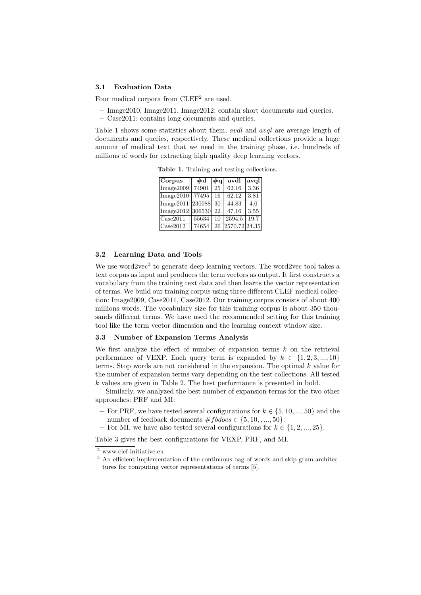#### 3.1 Evaluation Data

Four medical corpora from CLEF<sup>2</sup> are used.

- Image2010, Image2011, Image2012: contain short documents and queries.
	- Case2011: contains long documents and queries.

Table 1 shows some statistics about them, *avdl* and *avql* are average length of documents and queries, respectively. These medical collections provide a huge amount of medical text that we need in the training phase, i.e. hundreds of millions of words for extracting high quality deep learning vectors.

| Corpus                              | $\rm \#d$ | #q | avdl          | avql |
|-------------------------------------|-----------|----|---------------|------|
| Image2009                           | 74901     | 25 | 62.16         | 3.36 |
| Image2010                           | 77495     | 16 | 62.12         | 3.81 |
| $\text{Image}2011\vert 230088\vert$ |           | 30 | 44.83         | 4.0  |
| $\text{Image}2012\ 306530\ $        |           | 22 | 47.16         | 3.55 |
| Case2011                            | 55634     | 10 | 2594.5        | 19.7 |
| Case2012                            | 74654     | 26 | 2570.72 24.35 |      |

Table 1. Training and testing collections.

#### 3.2 Learning Data and Tools

We use word2vec $3$  to generate deep learning vectors. The word2vec tool takes a text corpus as input and produces the term vectors as output. It first constructs a vocabulary from the training text data and then learns the vector representation of terms. We build our training corpus using three different CLEF medical collection: Image2009, Case2011, Case2012. Our training corpus consists of about 400 millions words. The vocabulary size for this training corpus is about 350 thousands different terms. We have used the recommended setting for this training tool like the term vector dimension and the learning context window size.

#### 3.3 Number of Expansion Terms Analysis

We first analyze the effect of number of expansion terms  $k$  on the retrieval performance of VEXP. Each query term is expanded by  $k \in \{1, 2, 3, ..., 10\}$ terms. Stop words are not considered in the expansion. The optimal *k* value for the number of expansion terms vary depending on the test collections. All tested *k* values are given in Table 2. The best performance is presented in bold.

Similarly, we analyzed the best number of expansion terms for the two other approaches: PRF and MI:

- For PRF, we have tested several configurations for  $k \in \{5, 10, ..., 50\}$  and the number of feedback documents  $#f\textrm{b}$ docs  $\in \{5, 10, ..., 50\}.$
- For MI, we have also tested several configurations for  $k \in \{1, 2, ..., 25\}$ .

Table 3 gives the best configurations for VEXP, PRF, and MI.

<sup>2</sup> www.clef-initiative.eu

 $3$  An efficient implementation of the continuous bag-of-words and skip-gram architectures for computing vector representations of terms [5].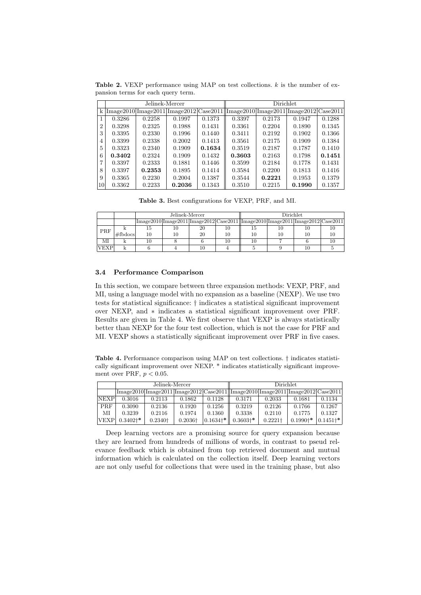Table 2. VEXP performance using MAP on test collections. *k* is the number of expansion terms for each query term.

|                | Jelinek-Mercer |        |        |        | <b>Dirichlet</b>                                                                                                                                                                                                              |        |        |        |  |
|----------------|----------------|--------|--------|--------|-------------------------------------------------------------------------------------------------------------------------------------------------------------------------------------------------------------------------------|--------|--------|--------|--|
| $\mathbf{k}$   |                |        |        |        | $\frac{1}{\text{Image}2010}$ $\frac{\text{Image}2011}{\text{Image}2011}$ $\frac{\text{Image}2012}{\text{Case}2011}$ $\frac{\text{Image}2010}{\text{Image}2011}$ $\frac{\text{Image}2011}{\text{Image}2012}$ $\text{Case}2011$ |        |        |        |  |
|                | 0.3286         | 0.2258 | 0.1997 | 0.1373 | 0.3397                                                                                                                                                                                                                        | 0.2173 | 0.1947 | 0.1288 |  |
| $\overline{2}$ | 0.3298         | 0.2325 | 0.1988 | 0.1431 | 0.3361                                                                                                                                                                                                                        | 0.2204 | 0.1890 | 0.1345 |  |
| 3              | 0.3395         | 0.2330 | 0.1996 | 0.1440 | 0.3411                                                                                                                                                                                                                        | 0.2192 | 0.1902 | 0.1366 |  |
| 4              | 0.3399         | 0.2338 | 0.2002 | 0.1413 | 0.3561                                                                                                                                                                                                                        | 0.2175 | 0.1909 | 0.1384 |  |
| 5              | 0.3323         | 0.2340 | 0.1909 | 0.1634 | 0.3519                                                                                                                                                                                                                        | 0.2187 | 0.1787 | 0.1410 |  |
| 6              | 0.3402         | 0.2324 | 0.1909 | 0.1432 | 0.3603                                                                                                                                                                                                                        | 0.2163 | 0.1798 | 0.1451 |  |
| 7              | 0.3397         | 0.2333 | 0.1881 | 0.1446 | 0.3599                                                                                                                                                                                                                        | 0.2184 | 0.1778 | 0.1431 |  |
| 8              | 0.3397         | 0.2353 | 0.1895 | 0.1414 | 0.3584                                                                                                                                                                                                                        | 0.2200 | 0.1813 | 0.1416 |  |
| 9              | 0.3365         | 0.2230 | 0.2004 | 0.1387 | 0.3544                                                                                                                                                                                                                        | 0.2221 | 0.1953 | 0.1379 |  |
| 10             | 0.3362         | 0.2233 | 0.2036 | 0.1343 | 0.3510                                                                                                                                                                                                                        | 0.2215 | 0.1990 | 0.1357 |  |

Table 3. Best configurations for VEXP, PRF, and MI.

|             |            |    | Jelinek-Mercer |    | <b>Dirichlet</b>                                                                                                                                                                                           |    |    |  |
|-------------|------------|----|----------------|----|------------------------------------------------------------------------------------------------------------------------------------------------------------------------------------------------------------|----|----|--|
|             |            |    |                |    | $\frac{1}{\text{Image}2010}$ $\frac{\text{Image}2011}{\text{Image}2011}$ $\frac{\text{Image}2012}{\text{Case}2011}$ $\frac{\text{Image}2010}{\text{Image}2011}$ $\frac{\text{Image}2012}{\text{Case}2011}$ |    |    |  |
| PRF         |            | Ţр | 10             | 20 | 15                                                                                                                                                                                                         | 10 | 10 |  |
|             | $#f$ bdocs | 10 |                | 20 |                                                                                                                                                                                                            | 10 | 10 |  |
| ΜΙ          |            | 10 |                |    |                                                                                                                                                                                                            |    |    |  |
| <b>VEXP</b> |            |    |                | 10 |                                                                                                                                                                                                            |    |    |  |

#### 3.4 Performance Comparison

In this section, we compare between three expansion methods: VEXP, PRF, and MI, using a language model with no expansion as a baseline (NEXP). We use two tests for statistical significance: *†* indicates a statistical significant improvement over NEXP, and  $*$  indicates a statistical significant improvement over PRF. Results are given in Table 4. We first observe that VEXP is always statistically better than NEXP for the four test collection, which is not the case for PRF and MI. VEXP shows a statistically significant improvement over PRF in five cases.

Table 4. Performance comparison using MAP on test collections. *†* indicates statistically significant improvement over NEXP. \* indicates statistically significant improvement over PRF,  $p < 0.05$ .

|             | Jelinek-Mercer        |           |                 |               | Dirichlet                                                                                                                                                                                     |                       |                       |              |
|-------------|-----------------------|-----------|-----------------|---------------|-----------------------------------------------------------------------------------------------------------------------------------------------------------------------------------------------|-----------------------|-----------------------|--------------|
|             |                       |           |                 |               | $\left \text{Image}2010\right  \text{Image}2011\right  \text{Image}2012\right  \text{Case}2011\right  \text{Image}2010\left  \text{Image}2011\right  \text{Image}2012\right  \text{Case}2011$ |                       |                       |              |
| NEXP        | 0.3016                | 0.2113    | 0.1862          | 0.1128        | 0.3171                                                                                                                                                                                        | 0.2033                | 0.1681                | 0.1134       |
| PRF         | 0.3090                | 0.2136    | 0.1920          | 0.1256        | 0.3219                                                                                                                                                                                        | 0.2126                | 0.1766                | 0.1267       |
| ΜΙ          | 0.3239                | 0.2116    | 0.1974          | 0.1360        | 0.3338                                                                                                                                                                                        | 0.2110                | 0.1775                | 0.1327       |
| <b>VEXP</b> | $0.3402$ <sup>*</sup> | $0.2340+$ | $0.2036\dagger$ | $0.1634^{+*}$ | $0.3603^{+*}$                                                                                                                                                                                 | $0.2221$ <sup>+</sup> | $0.1990$ <sup>*</sup> | $0.1451^{*}$ |

Deep learning vectors are a promising source for query expansion because they are learned from hundreds of millions of words, in contrast to pseud relevance feedback which is obtained from top retrieved document and mutual information which is calculated on the collection itself. Deep learning vectors are not only useful for collections that were used in the training phase, but also